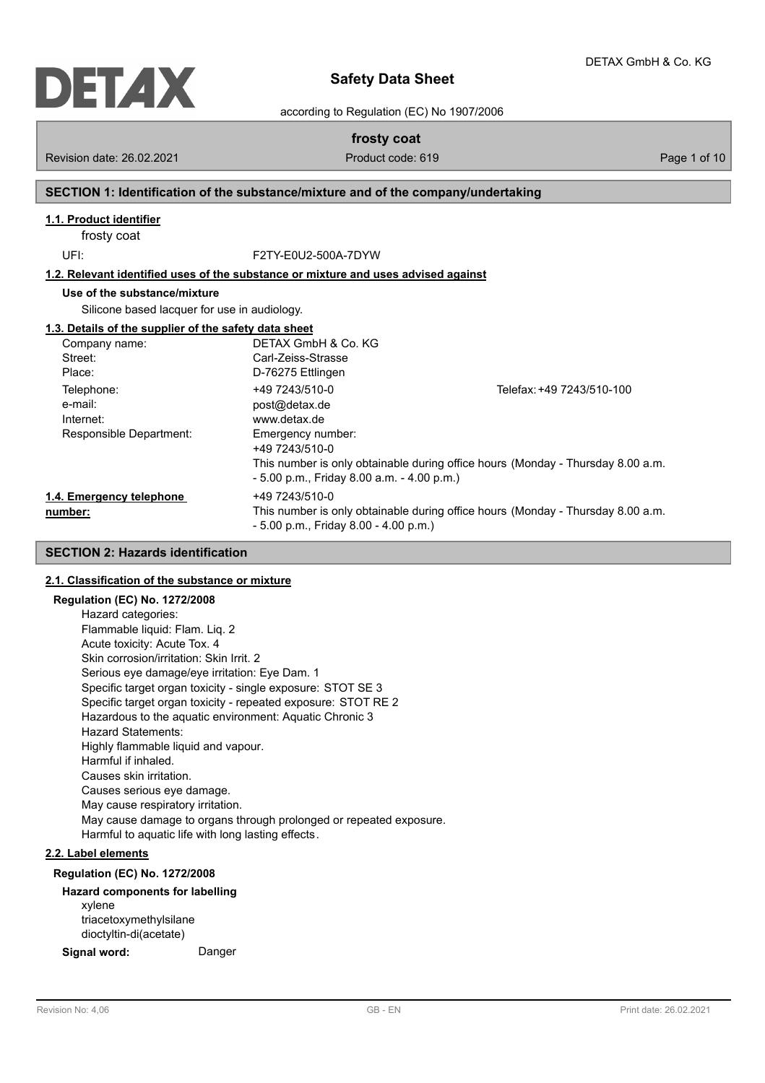

according to Regulation (EC) No 1907/2006

# **frosty coat**

Revision date: 26.02.2021 **Product code: 619** Page 1 of 10

# **SECTION 1: Identification of the substance/mixture and of the company/undertaking**

# **1.1. Product identifier**

frosty coat

UFI: F2TY-E0U2-500A-7DYW

**1.2. Relevant identified uses of the substance or mixture and uses advised against**

# **Use of the substance/mixture**

Silicone based lacquer for use in audiology.

# **1.3. Details of the supplier of the safety data sheet**

| Company name:            | DETAX GmbH & Co. KG                          |                                                                                 |
|--------------------------|----------------------------------------------|---------------------------------------------------------------------------------|
| Street:                  | Carl-Zeiss-Strasse                           |                                                                                 |
| Place:                   | D-76275 Ettlingen                            |                                                                                 |
| Telephone:<br>e-mail:    | +49 7243/510-0<br>post@detax.de              | Telefax: +49 7243/510-100                                                       |
| Internet:                | www.detax.de                                 |                                                                                 |
| Responsible Department:  | Emergency number:<br>+49 7243/510-0          |                                                                                 |
|                          | $-5.00$ p.m., Friday 8.00 a.m. $-4.00$ p.m.) | This number is only obtainable during office hours (Monday - Thursday 8.00 a.m. |
| 1.4. Emergency telephone | +49 7243/510-0                               |                                                                                 |
| number:                  | $-5.00$ p.m., Friday 8.00 $-4.00$ p.m.)      | This number is only obtainable during office hours (Monday - Thursday 8.00 a.m. |

# **SECTION 2: Hazards identification**

# **2.1. Classification of the substance or mixture**

# **Regulation (EC) No. 1272/2008**

Hazard categories: Flammable liquid: Flam. Liq. 2 Acute toxicity: Acute Tox. 4 Skin corrosion/irritation: Skin Irrit. 2 Serious eye damage/eye irritation: Eye Dam. 1 Specific target organ toxicity - single exposure: STOT SE 3 Specific target organ toxicity - repeated exposure: STOT RE 2 Hazardous to the aquatic environment: Aquatic Chronic 3 Hazard Statements: Highly flammable liquid and vapour. Harmful if inhaled. Causes skin irritation. Causes serious eye damage. May cause respiratory irritation. May cause damage to organs through prolonged or repeated exposure. Harmful to aquatic life with long lasting effects.

# **2.2. Label elements**

### **Regulation (EC) No. 1272/2008**

#### **Hazard components for labelling** xylene triacetoxymethylsilane dioctyltin-di(acetate)

**Signal word:** Danger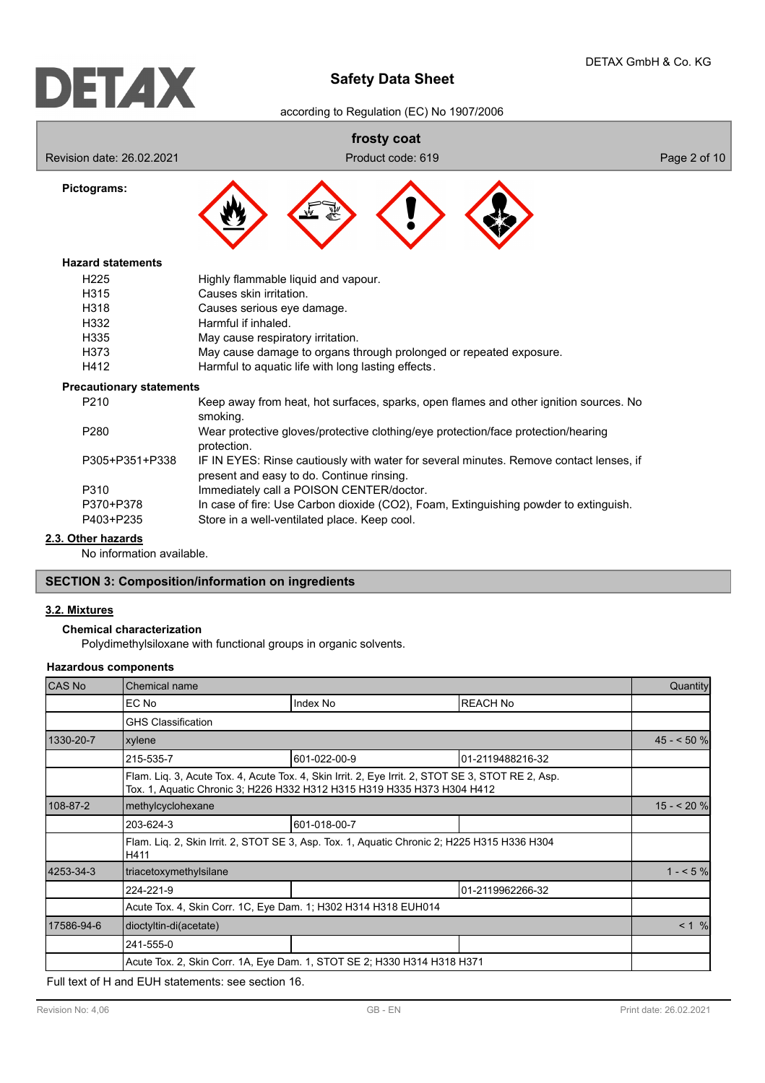according to Regulation (EC) No 1907/2006

# **frosty coat**

Revision date: 26.02.2021 **Product code: 619** Page 2 of 10 Page 2 of 10

**Pictograms:**



# **Hazard statements**

| H <sub>225</sub>  | Highly flammable liquid and vapour.                                |
|-------------------|--------------------------------------------------------------------|
| H <sub>3</sub> 15 | Causes skin irritation.                                            |
| H318              | Causes serious eye damage.                                         |
| H332              | Harmful if inhaled.                                                |
| H335              | May cause respiratory irritation.                                  |
| H373              | May cause damage to organs through prolonged or repeated exposure. |
| H412              | Harmful to aquatic life with long lasting effects.                 |

#### **Precautionary statements**

| P <sub>210</sub> | Keep away from heat, hot surfaces, sparks, open flames and other ignition sources. No<br>smoking.                                   |
|------------------|-------------------------------------------------------------------------------------------------------------------------------------|
| P <sub>280</sub> | Wear protective gloves/protective clothing/eye protection/face protection/hearing<br>protection.                                    |
| P305+P351+P338   | IF IN EYES: Rinse cautiously with water for several minutes. Remove contact lenses, if<br>present and easy to do. Continue rinsing. |
| P310             | Immediately call a POISON CENTER/doctor.                                                                                            |
| P370+P378        | In case of fire: Use Carbon dioxide (CO2), Foam, Extinguishing powder to extinguish.                                                |
| P403+P235        | Store in a well-ventilated place. Keep cool.                                                                                        |

# **2.3. Other hazards**

No information available.

# **SECTION 3: Composition/information on ingredients**

# **3.2. Mixtures**

**Chemical characterization**

Polydimethylsiloxane with functional groups in organic solvents.

# **Hazardous components**

| CAS No     | Chemical name                                                  |                                                                                                                                                                              |                  |             |
|------------|----------------------------------------------------------------|------------------------------------------------------------------------------------------------------------------------------------------------------------------------------|------------------|-------------|
|            | EC No                                                          | Index No                                                                                                                                                                     | <b>REACH No</b>  |             |
|            | <b>GHS Classification</b>                                      |                                                                                                                                                                              |                  |             |
| 1330-20-7  | xylene                                                         |                                                                                                                                                                              |                  | $45 - 50%$  |
|            | 215-535-7                                                      | 601-022-00-9                                                                                                                                                                 | 01-2119488216-32 |             |
|            |                                                                | Flam. Lig. 3, Acute Tox. 4, Acute Tox. 4, Skin Irrit. 2, Eye Irrit. 2, STOT SE 3, STOT RE 2, Asp.<br>Tox. 1, Aquatic Chronic 3; H226 H332 H312 H315 H319 H335 H373 H304 H412 |                  |             |
| 108-87-2   | methylcyclohexane                                              |                                                                                                                                                                              |                  | $15 - 20$ % |
|            | 203-624-3                                                      | 601-018-00-7                                                                                                                                                                 |                  |             |
|            | H411                                                           | Flam. Liq. 2, Skin Irrit. 2, STOT SE 3, Asp. Tox. 1, Aquatic Chronic 2; H225 H315 H336 H304                                                                                  |                  |             |
| 4253-34-3  | triacetoxymethylsilane                                         |                                                                                                                                                                              |                  | $1 - 5\%$   |
|            | 224-221-9                                                      |                                                                                                                                                                              | 01-2119962266-32 |             |
|            | Acute Tox. 4, Skin Corr. 1C, Eye Dam. 1; H302 H314 H318 EUH014 |                                                                                                                                                                              |                  |             |
| 17586-94-6 | dioctyltin-di(acetate)                                         |                                                                                                                                                                              |                  | < 1 %       |
|            | 241-555-0                                                      |                                                                                                                                                                              |                  |             |
|            |                                                                | Acute Tox. 2, Skin Corr. 1A, Eye Dam. 1, STOT SE 2; H330 H314 H318 H371                                                                                                      |                  |             |

Full text of H and EUH statements: see section 16.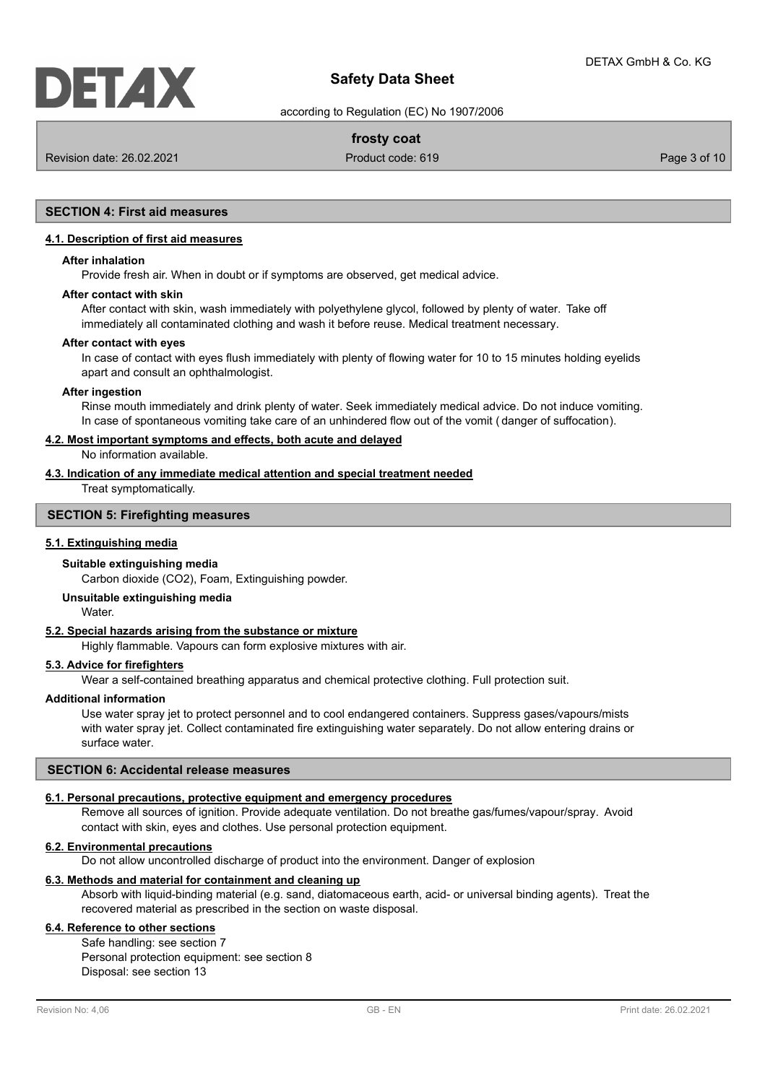according to Regulation (EC) No 1907/2006

# **frosty coat**

Revision date: 26.02.2021 **Product code: 619** Page 3 of 10

# **SECTION 4: First aid measures**

#### **4.1. Description of first aid measures**

#### **After inhalation**

Provide fresh air. When in doubt or if symptoms are observed, get medical advice.

#### **After contact with skin**

After contact with skin, wash immediately with polyethylene glycol, followed by plenty of water. Take off immediately all contaminated clothing and wash it before reuse. Medical treatment necessary.

#### **After contact with eyes**

In case of contact with eyes flush immediately with plenty of flowing water for 10 to 15 minutes holding eyelids apart and consult an ophthalmologist.

#### **After ingestion**

Rinse mouth immediately and drink plenty of water. Seek immediately medical advice. Do not induce vomiting. In case of spontaneous vomiting take care of an unhindered flow out of the vomit ( danger of suffocation).

#### **4.2. Most important symptoms and effects, both acute and delayed**

No information available.

# **4.3. Indication of any immediate medical attention and special treatment needed**

Treat symptomatically.

# **SECTION 5: Firefighting measures**

# **5.1. Extinguishing media**

# **Suitable extinguishing media**

Carbon dioxide (CO2), Foam, Extinguishing powder.

# **Unsuitable extinguishing media**

Water.

# **5.2. Special hazards arising from the substance or mixture**

Highly flammable. Vapours can form explosive mixtures with air.

# **5.3. Advice for firefighters**

Wear a self-contained breathing apparatus and chemical protective clothing. Full protection suit.

#### **Additional information**

Use water spray jet to protect personnel and to cool endangered containers. Suppress gases/vapours/mists with water spray jet. Collect contaminated fire extinguishing water separately. Do not allow entering drains or surface water.

# **SECTION 6: Accidental release measures**

#### **6.1. Personal precautions, protective equipment and emergency procedures**

Remove all sources of ignition. Provide adequate ventilation. Do not breathe gas/fumes/vapour/spray. Avoid contact with skin, eyes and clothes. Use personal protection equipment.

# **6.2. Environmental precautions**

Do not allow uncontrolled discharge of product into the environment. Danger of explosion

# **6.3. Methods and material for containment and cleaning up**

Absorb with liquid-binding material (e.g. sand, diatomaceous earth, acid- or universal binding agents). Treat the recovered material as prescribed in the section on waste disposal.

# **6.4. Reference to other sections**

Safe handling: see section 7 Personal protection equipment: see section 8 Disposal: see section 13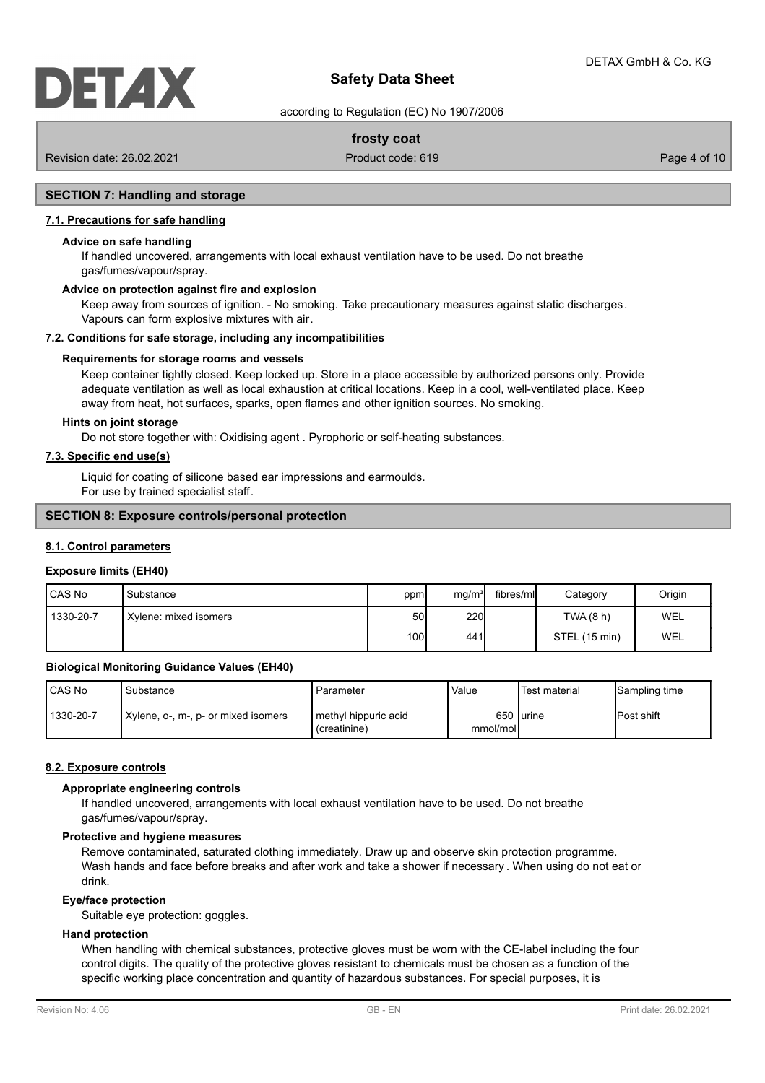according to Regulation (EC) No 1907/2006

# **frosty coat**

Revision date: 26.02.2021 **Product code: 619** Page 4 of 10

# **SECTION 7: Handling and storage**

# **7.1. Precautions for safe handling**

#### **Advice on safe handling**

If handled uncovered, arrangements with local exhaust ventilation have to be used. Do not breathe gas/fumes/vapour/spray.

# **Advice on protection against fire and explosion**

Keep away from sources of ignition. - No smoking. Take precautionary measures against static discharges. Vapours can form explosive mixtures with air.

#### **7.2. Conditions for safe storage, including any incompatibilities**

#### **Requirements for storage rooms and vessels**

Keep container tightly closed. Keep locked up. Store in a place accessible by authorized persons only. Provide adequate ventilation as well as local exhaustion at critical locations. Keep in a cool, well-ventilated place. Keep away from heat, hot surfaces, sparks, open flames and other ignition sources. No smoking.

#### **Hints on joint storage**

Do not store together with: Oxidising agent . Pyrophoric or self-heating substances.

# **7.3. Specific end use(s)**

Liquid for coating of silicone based ear impressions and earmoulds. For use by trained specialist staff.

# **SECTION 8: Exposure controls/personal protection**

### **8.1. Control parameters**

# **Exposure limits (EH40)**

| I CAS No  | Substance             | ppm  | mg/m <sup>3</sup> | fibres/mll | Category      | Origin |
|-----------|-----------------------|------|-------------------|------------|---------------|--------|
| 1330-20-7 | Xylene: mixed isomers | 50   | <b>220</b>        |            | TWA(8 h)      | WEL    |
|           |                       | 100l | 441I              |            | STEL (15 min) | WEL    |

#### **Biological Monitoring Guidance Values (EH40)**

| <b>CAS No</b> | Substance                           | Parameter                           | Value    | l Test material | Sampling time      |
|---------------|-------------------------------------|-------------------------------------|----------|-----------------|--------------------|
| 1330-20-7     | Xylene, o-, m-, p- or mixed isomers | methyl hippuric acid<br>creatinine) | mmol/mol | 650 lurine      | <b>IPost shift</b> |

#### **8.2. Exposure controls**

#### **Appropriate engineering controls**

If handled uncovered, arrangements with local exhaust ventilation have to be used. Do not breathe gas/fumes/vapour/spray.

#### **Protective and hygiene measures**

Remove contaminated, saturated clothing immediately. Draw up and observe skin protection programme. Wash hands and face before breaks and after work and take a shower if necessary . When using do not eat or drink.

#### **Eye/face protection**

Suitable eye protection: goggles.

#### **Hand protection**

When handling with chemical substances, protective gloves must be worn with the CE-label including the four control digits. The quality of the protective gloves resistant to chemicals must be chosen as a function of the specific working place concentration and quantity of hazardous substances. For special purposes, it is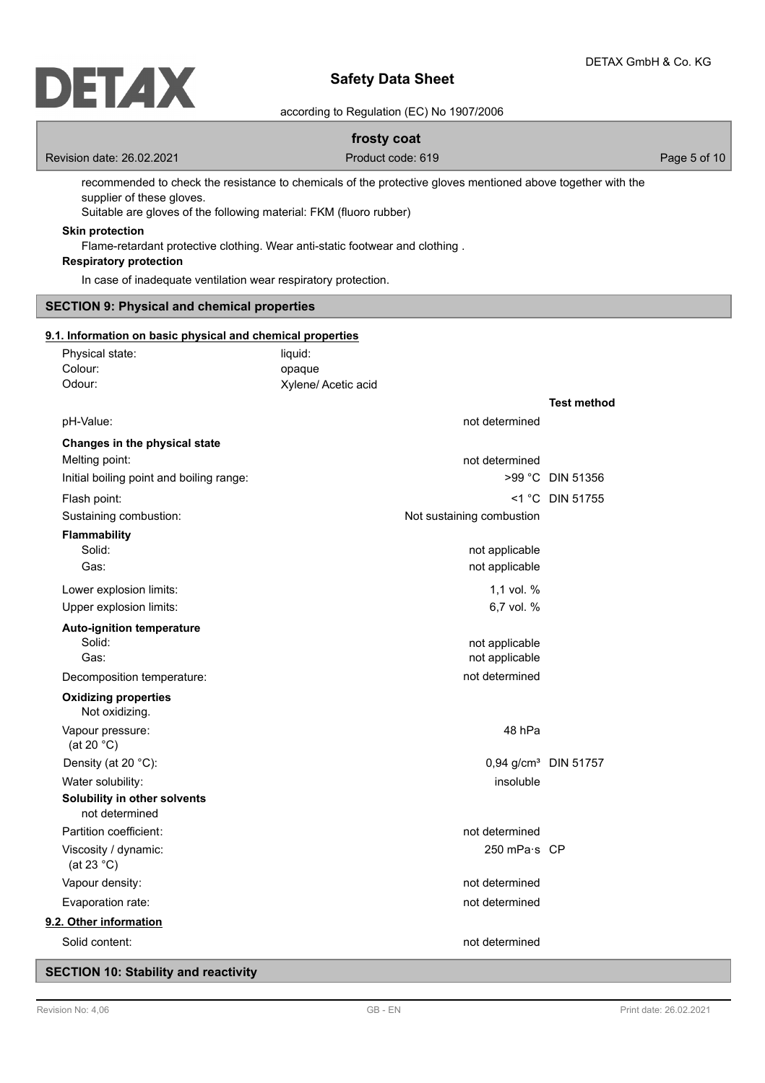

according to Regulation (EC) No 1907/2006

# **frosty coat**

Revision date: 26.02.2021 **Product code: 619** Page 5 of 10 Page 5 of 10

recommended to check the resistance to chemicals of the protective gloves mentioned above together with the supplier of these gloves.

Suitable are gloves of the following material: FKM (fluoro rubber)

# **Skin protection**

Flame-retardant protective clothing. Wear anti-static footwear and clothing .

# **Respiratory protection**

In case of inadequate ventilation wear respiratory protection.

# **SECTION 9: Physical and chemical properties**

# **9.1. Information on basic physical and chemical properties**

| Physical state:<br>Colour:<br>Odour:           |                                          | liquid:<br>opaque<br>Xylene/ Acetic acid |                                  |                    |
|------------------------------------------------|------------------------------------------|------------------------------------------|----------------------------------|--------------------|
|                                                |                                          |                                          |                                  | <b>Test method</b> |
| pH-Value:                                      |                                          |                                          | not determined                   |                    |
| Changes in the physical state                  |                                          |                                          |                                  |                    |
| Melting point:                                 |                                          |                                          | not determined                   |                    |
|                                                | Initial boiling point and boiling range: |                                          |                                  | >99 °C DIN 51356   |
| Flash point:                                   |                                          |                                          |                                  | $<$ 1 °C DIN 51755 |
| Sustaining combustion:                         |                                          |                                          | Not sustaining combustion        |                    |
| <b>Flammability</b>                            |                                          |                                          |                                  |                    |
| Solid:                                         |                                          |                                          | not applicable                   |                    |
| Gas:                                           |                                          |                                          | not applicable                   |                    |
| Lower explosion limits:                        |                                          |                                          | 1,1 vol. %                       |                    |
| Upper explosion limits:                        |                                          |                                          | 6,7 vol. %                       |                    |
| <b>Auto-ignition temperature</b><br>Solid:     |                                          |                                          | not applicable                   |                    |
| Gas:                                           |                                          |                                          | not applicable                   |                    |
| Decomposition temperature:                     |                                          |                                          | not determined                   |                    |
| <b>Oxidizing properties</b><br>Not oxidizing.  |                                          |                                          |                                  |                    |
| Vapour pressure:<br>(at 20 $°C$ )              |                                          |                                          | 48 hPa                           |                    |
| Density (at 20 °C):                            |                                          |                                          | 0,94 g/cm <sup>3</sup> DIN 51757 |                    |
| Water solubility:                              |                                          |                                          | insoluble                        |                    |
| Solubility in other solvents<br>not determined |                                          |                                          |                                  |                    |
| Partition coefficient:                         |                                          |                                          | not determined                   |                    |
| Viscosity / dynamic:<br>(at 23 $^{\circ}$ C)   |                                          |                                          | 250 mPa·s CP                     |                    |
| Vapour density:                                |                                          |                                          | not determined                   |                    |
| Evaporation rate:                              |                                          |                                          | not determined                   |                    |
| 9.2. Other information                         |                                          |                                          |                                  |                    |
| Solid content:                                 |                                          |                                          | not determined                   |                    |
| <b>SECTION 10: Stability and reactivity</b>    |                                          |                                          |                                  |                    |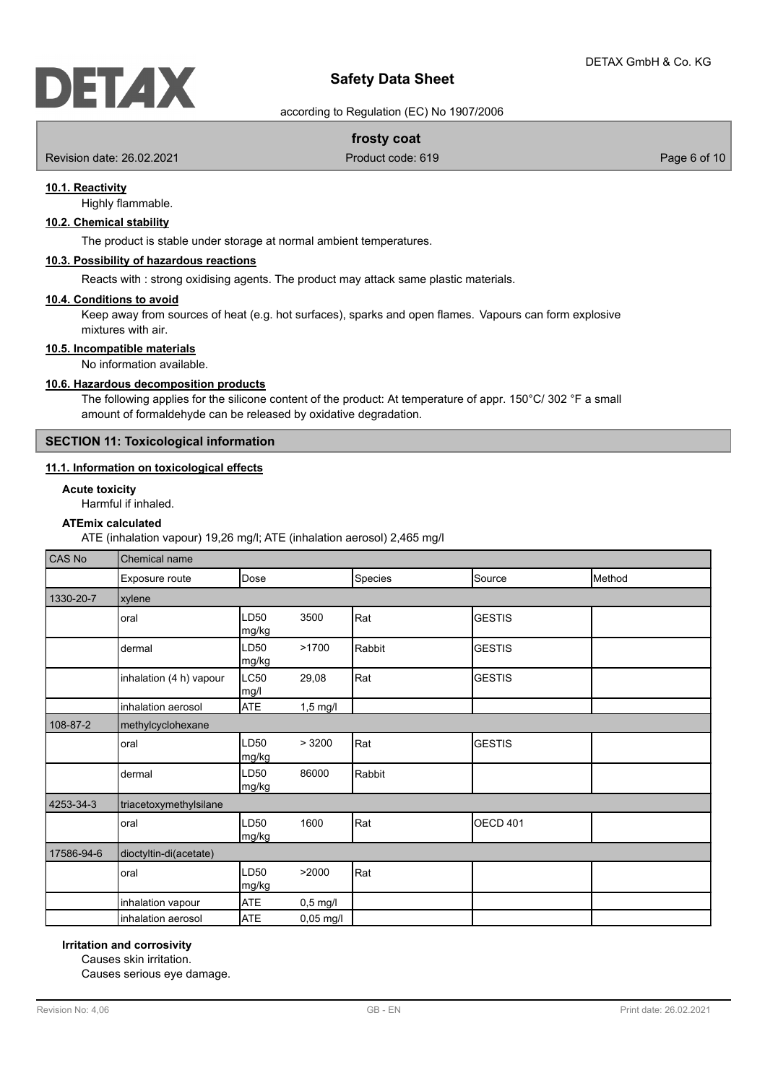according to Regulation (EC) No 1907/2006

# **frosty coat**

Revision date: 26.02.2021 **Product code: 619** Page 6 of 10

# **10.1. Reactivity**

Highly flammable.

# **10.2. Chemical stability**

The product is stable under storage at normal ambient temperatures.

# **10.3. Possibility of hazardous reactions**

Reacts with : strong oxidising agents. The product may attack same plastic materials.

#### **10.4. Conditions to avoid**

Keep away from sources of heat (e.g. hot surfaces), sparks and open flames. Vapours can form explosive mixtures with air.

# **10.5. Incompatible materials**

No information available.

# **10.6. Hazardous decomposition products**

The following applies for the silicone content of the product: At temperature of appr. 150°C/ 302 °F a small amount of formaldehyde can be released by oxidative degradation.

# **SECTION 11: Toxicological information**

# **11.1. Information on toxicological effects**

#### **Acute toxicity**

Harmful if inhaled.

#### **ATEmix calculated**

ATE (inhalation vapour) 19,26 mg/l; ATE (inhalation aerosol) 2,465 mg/l

| <b>CAS No</b> | Chemical name           |               |            |         |               |        |
|---------------|-------------------------|---------------|------------|---------|---------------|--------|
|               | Exposure route          | Dose          |            | Species | Source        | Method |
| 1330-20-7     | xylene                  |               |            |         |               |        |
|               | oral                    | LD50<br>mg/kg | 3500       | Rat     | <b>GESTIS</b> |        |
|               | dermal                  | LD50<br>mg/kg | >1700      | Rabbit  | <b>GESTIS</b> |        |
|               | inhalation (4 h) vapour | LC50<br>mg/l  | 29,08      | Rat     | <b>GESTIS</b> |        |
|               | inhalation aerosol      | <b>ATE</b>    | $1,5$ mg/l |         |               |        |
| 108-87-2      | methylcyclohexane       |               |            |         |               |        |
|               | oral                    | LD50<br>mg/kg | >3200      | Rat     | <b>GESTIS</b> |        |
|               | dermal                  | LD50<br>mg/kg | 86000      | Rabbit  |               |        |
| 4253-34-3     | triacetoxymethylsilane  |               |            |         |               |        |
|               | oral                    | LD50<br>mg/kg | 1600       | Rat     | OECD 401      |        |
| 17586-94-6    | dioctyltin-di(acetate)  |               |            |         |               |        |
|               | oral                    | LD50<br>mg/kg | >2000      | Rat     |               |        |
|               | inhalation vapour       | <b>ATE</b>    | $0,5$ mg/l |         |               |        |
|               | inhalation aerosol      | <b>ATE</b>    | 0,05 mg/l  |         |               |        |

#### **Irritation and corrosivity**

Causes skin irritation.

Causes serious eye damage.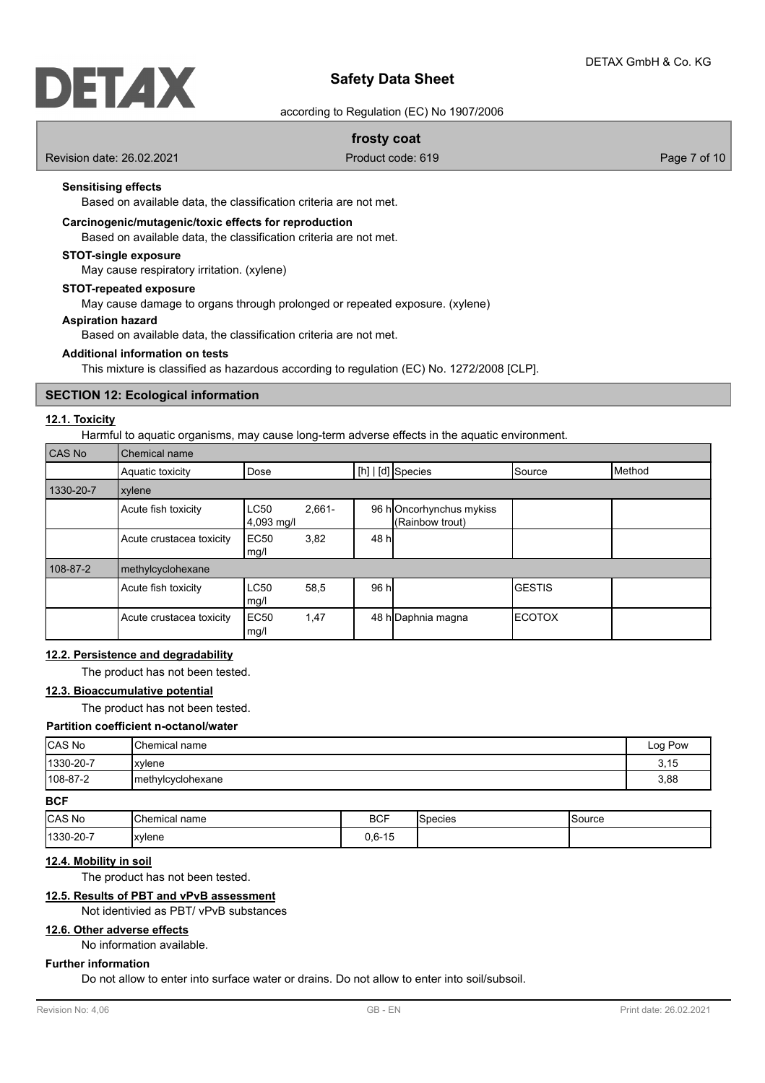# DELAX

# **Safety Data Sheet**

according to Regulation (EC) No 1907/2006

# **frosty coat**

Revision date: 26.02.2021 **Product code: 619** Product code: 619 **Page 7** of 10

# **Sensitising effects**

Based on available data, the classification criteria are not met.

#### **Carcinogenic/mutagenic/toxic effects for reproduction**

Based on available data, the classification criteria are not met.

#### **STOT-single exposure**

May cause respiratory irritation. (xylene)

#### **STOT-repeated exposure**

May cause damage to organs through prolonged or repeated exposure. (xylene)

#### **Aspiration hazard**

Based on available data, the classification criteria are not met.

#### **Additional information on tests**

This mixture is classified as hazardous according to regulation (EC) No. 1272/2008 [CLP].

# **SECTION 12: Ecological information**

# **12.1. Toxicity**

Harmful to aquatic organisms, may cause long-term adverse effects in the aquatic environment.

| CAS No    | Chemical name            |                                        |       |                                            |                |                 |
|-----------|--------------------------|----------------------------------------|-------|--------------------------------------------|----------------|-----------------|
|           | Aquatic toxicity         | Dose                                   |       | [h]   [d] Species                          | Source         | <b>I</b> Method |
| 1330-20-7 | xylene                   |                                        |       |                                            |                |                 |
|           | Acute fish toxicity      | <b>LC50</b><br>$2.661 -$<br>4,093 mg/l |       | 96 hOncorhynchus mykiss<br>(Rainbow trout) |                |                 |
|           | Acute crustacea toxicity | EC <sub>50</sub><br>3,82<br>mg/l       | 48 h  |                                            |                |                 |
| 108-87-2  | methylcyclohexane        |                                        |       |                                            |                |                 |
|           | Acute fish toxicity      | <b>LC50</b><br>58,5<br>mg/l            | 96 hl |                                            | <b>GESTIS</b>  |                 |
|           | Acute crustacea toxicity | EC50<br>1,47<br>mg/l                   |       | 48 h Daphnia magna                         | <b>IECOTOX</b> |                 |

#### **12.2. Persistence and degradability**

The product has not been tested.

#### **12.3. Bioaccumulative potential**

The product has not been tested.

#### **Partition coefficient n-octanol/water**

| <b>CAS No</b> | <b>I</b> Chemical name | Log Pow |
|---------------|------------------------|---------|
| 1330-20-7     | <b>xylene</b>          | 3,15    |
| $ 108-87-2 $  | Imethylcyclohexane     | 3,88    |

**BCF**

| CAS No            | 'Chemical name | <b>BCF</b> | - י<br>- Conina<br>JELIES | Source |
|-------------------|----------------|------------|---------------------------|--------|
| $ 1330 - 20 - 7 $ | Ixvlene        | $0.6 - 15$ |                           |        |

# **12.4. Mobility in soil**

The product has not been tested.

# **12.5. Results of PBT and vPvB assessment**

Not identivied as PBT/ vPvB substances

# **12.6. Other adverse effects**

No information available.

# **Further information**

Do not allow to enter into surface water or drains. Do not allow to enter into soil/subsoil.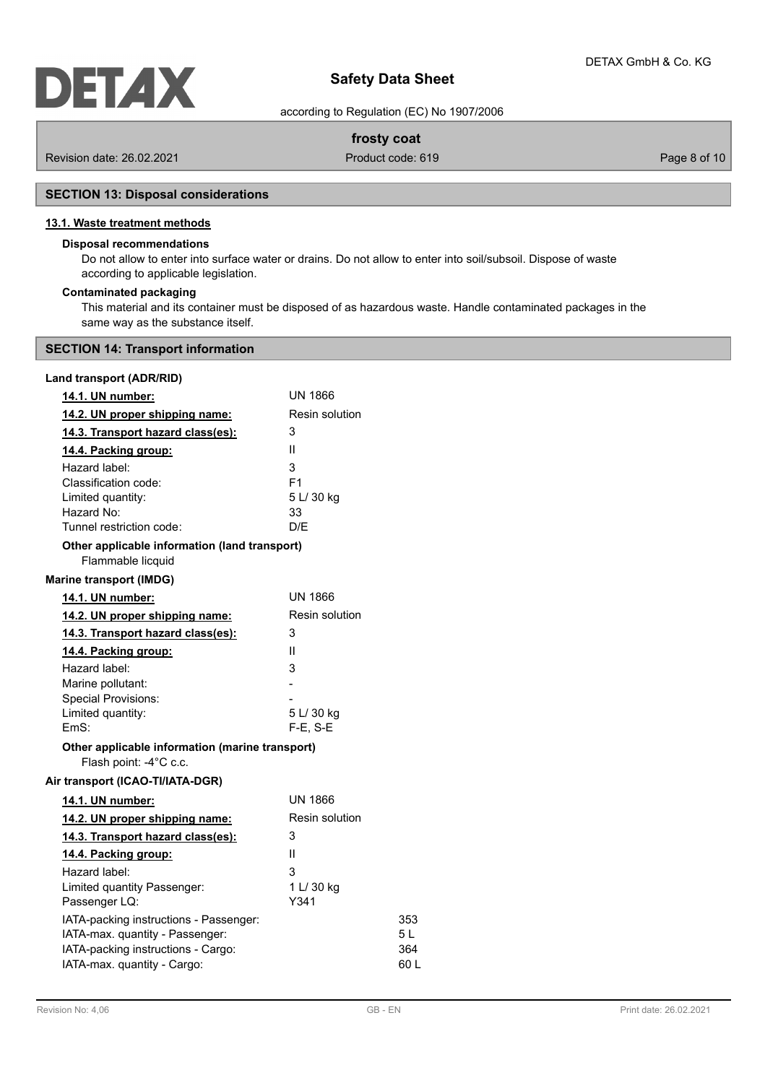according to Regulation (EC) No 1907/2006

# **frosty coat**

Revision date: 26.02.2021 **Product code: 619** Product code: 619 **Page 8 of 10** Page 8 of 10

# **SECTION 13: Disposal considerations**

# **13.1. Waste treatment methods**

# **Disposal recommendations**

Do not allow to enter into surface water or drains. Do not allow to enter into soil/subsoil. Dispose of waste according to applicable legislation.

# **Contaminated packaging**

This material and its container must be disposed of as hazardous waste. Handle contaminated packages in the same way as the substance itself.

|  |  |  | <b>SECTION 14: Transport information</b> |
|--|--|--|------------------------------------------|
|--|--|--|------------------------------------------|

# **Land transport (ADR/RID)**

| 14.1. UN number:                                                          | <b>UN 1866</b> |      |
|---------------------------------------------------------------------------|----------------|------|
| 14.2. UN proper shipping name:                                            | Resin solution |      |
| 14.3. Transport hazard class(es):                                         | 3              |      |
| 14.4. Packing group:                                                      | Ш              |      |
| Hazard label:                                                             | 3              |      |
| Classification code:                                                      | F <sub>1</sub> |      |
| Limited quantity:                                                         | 5 L/ 30 kg     |      |
| Hazard No:                                                                | 33             |      |
| Tunnel restriction code:                                                  | D/E            |      |
| Other applicable information (land transport)<br>Flammable licquid        |                |      |
| <b>Marine transport (IMDG)</b>                                            |                |      |
| 14.1. UN number:                                                          | <b>UN 1866</b> |      |
| 14.2. UN proper shipping name:                                            | Resin solution |      |
| 14.3. Transport hazard class(es):                                         | 3              |      |
| 14.4. Packing group:                                                      | Ш              |      |
| Hazard label:                                                             | 3              |      |
| Marine pollutant:                                                         |                |      |
| <b>Special Provisions:</b>                                                |                |      |
| Limited quantity:                                                         | 5 L/ 30 kg     |      |
| EmS:                                                                      | F-E, S-E       |      |
| Other applicable information (marine transport)<br>Flash point: -4°C c.c. |                |      |
| Air transport (ICAO-TI/IATA-DGR)                                          |                |      |
| 14.1. UN number:                                                          | <b>UN 1866</b> |      |
| 14.2. UN proper shipping name:                                            | Resin solution |      |
| 14.3. Transport hazard class(es):                                         | 3              |      |
| 14.4. Packing group:                                                      | Ш              |      |
| Hazard label:                                                             | 3              |      |
| Limited quantity Passenger:                                               | 1 L/ 30 kg     |      |
| Passenger LQ:                                                             | Y341           |      |
| IATA-packing instructions - Passenger:                                    |                | 353  |
| IATA-max. quantity - Passenger:                                           |                | 5 L  |
| IATA-packing instructions - Cargo:                                        |                | 364  |
| IATA-max. quantity - Cargo:                                               |                | 60 L |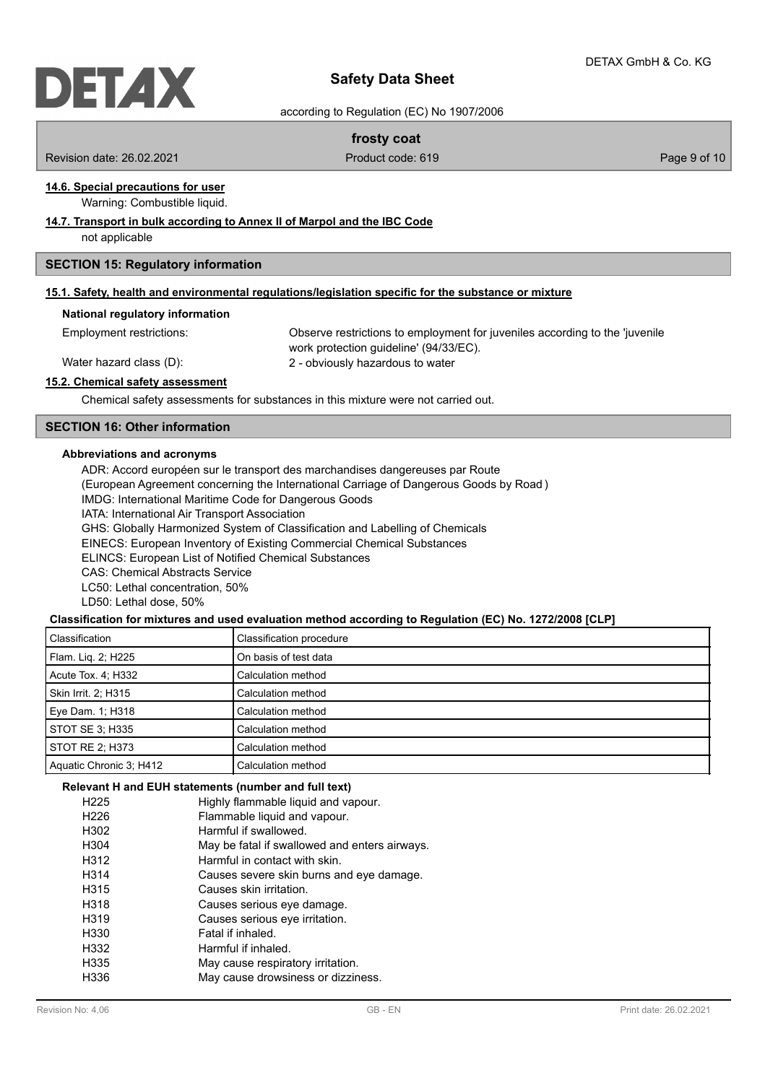according to Regulation (EC) No 1907/2006

# **frosty coat**

Revision date: 26.02.2021 **Product code: 619** Product code: 619 **Page 9 of 10** Page 9 of 10

# **14.6. Special precautions for user**

Warning: Combustible liquid.

# **14.7. Transport in bulk according to Annex II of Marpol and the IBC Code**

not applicable

# **SECTION 15: Regulatory information**

# **15.1. Safety, health and environmental regulations/legislation specific for the substance or mixture**

#### **National regulatory information**

Employment restrictions:

Observe restrictions to employment for juveniles according to the 'juvenile work protection guideline' (94/33/EC). Water hazard class (D): 2 - obviously hazardous to water

**15.2. Chemical safety assessment**

Chemical safety assessments for substances in this mixture were not carried out.

# **SECTION 16: Other information**

# **Abbreviations and acronyms**

ADR: Accord européen sur le transport des marchandises dangereuses par Route (European Agreement concerning the International Carriage of Dangerous Goods by Road ) IMDG: International Maritime Code for Dangerous Goods IATA: International Air Transport Association GHS: Globally Harmonized System of Classification and Labelling of Chemicals EINECS: European Inventory of Existing Commercial Chemical Substances ELINCS: European List of Notified Chemical Substances CAS: Chemical Abstracts Service LC50: Lethal concentration, 50% LD50: Lethal dose, 50%

#### **Classification for mixtures and used evaluation method according to Regulation (EC) No. 1272/2008 [CLP]**

| Classification          | Classification procedure |
|-------------------------|--------------------------|
| Flam. Lig. 2; H225      | On basis of test data    |
| Acute Tox. 4; H332      | Calculation method       |
| Skin Irrit. 2; H315     | Calculation method       |
| Eye Dam. 1; H318        | Calculation method       |
| STOT SE 3; H335         | Calculation method       |
| STOT RE 2: H373         | Calculation method       |
| Aguatic Chronic 3: H412 | Calculation method       |

#### **Relevant H and EUH statements (number and full text)**

| H <sub>225</sub>  | Highly flammable liquid and vapour.           |
|-------------------|-----------------------------------------------|
| H <sub>226</sub>  | Flammable liquid and vapour.                  |
| H302              | Harmful if swallowed.                         |
| H304              | May be fatal if swallowed and enters airways. |
| H312              | Harmful in contact with skin.                 |
| H <sub>3</sub> 14 | Causes severe skin burns and eye damage.      |
| H315              | Causes skin irritation.                       |
| H318              | Causes serious eye damage.                    |
| H <sub>3</sub> 19 | Causes serious eye irritation.                |
| H330              | Fatal if inhaled.                             |
| H332              | Harmful if inhaled.                           |
| H335              | May cause respiratory irritation.             |
| H336              | May cause drowsiness or dizziness.            |